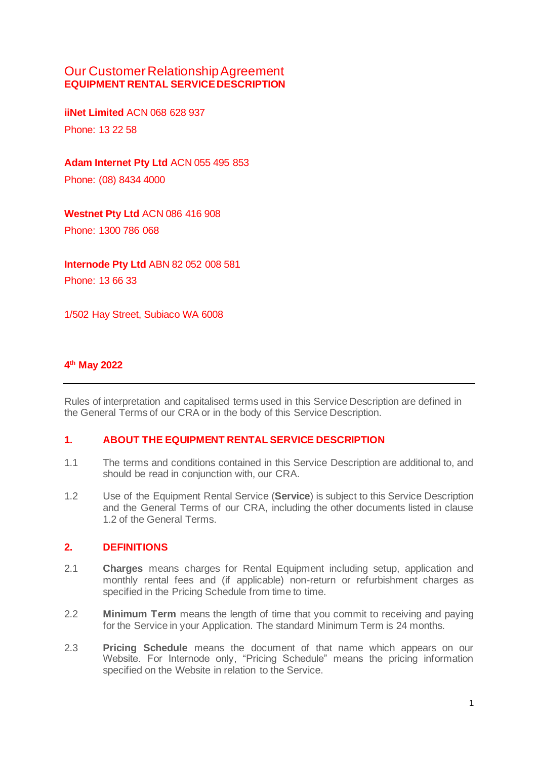# Our Customer Relationship Agreement **EQUIPMENT RENTAL SERVICE DESCRIPTION**

**iiNet Limited** ACN 068 628 937 Phone: 13 22 58

**Adam Internet Pty Ltd** ACN 055 495 853

Phone: (08) 8434 4000

# **Westnet Pty Ltd** ACN 086 416 908

Phone: 1300 786 068

**Internode Pty Ltd** ABN 82 052 008 581 Phone: 13 66 33

1/502 Hay Street, Subiaco WA 6008

# **4 th May 2022**

Rules of interpretation and capitalised terms used in this Service Description are defined in the General Terms of our CRA or in the body of this Service Description.

#### **1. ABOUT THE EQUIPMENT RENTAL SERVICE DESCRIPTION**

- 1.1 The terms and conditions contained in this Service Description are additional to, and should be read in conjunction with, our CRA.
- 1.2 Use of the Equipment Rental Service (**Service**) is subject to this Service Description and the General Terms of our CRA, including the other documents listed in clause 1.2 of the General Terms.

#### **2. DEFINITIONS**

- 2.1 **Charges** means charges for Rental Equipment including setup, application and monthly rental fees and (if applicable) non-return or refurbishment charges as specified in the Pricing Schedule from time to time.
- 2.2 **Minimum Term** means the length of time that you commit to receiving and paying for the Service in your Application. The standard Minimum Term is 24 months.
- 2.3 **Pricing Schedule** means the document of that name which appears on our Website. For Internode only, "Pricing Schedule" means the pricing information specified on the Website in relation to the Service.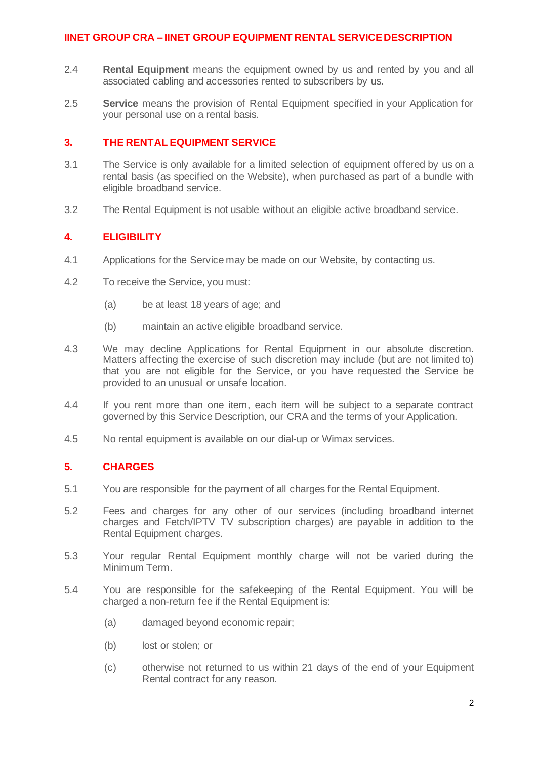- 2.4 **Rental Equipment** means the equipment owned by us and rented by you and all associated cabling and accessories rented to subscribers by us.
- 2.5 **Service** means the provision of Rental Equipment specified in your Application for your personal use on a rental basis.

# **3. THE RENTAL EQUIPMENT SERVICE**

- 3.1 The Service is only available for a limited selection of equipment offered by us on a rental basis (as specified on the Website), when purchased as part of a bundle with eligible broadband service.
- 3.2 The Rental Equipment is not usable without an eligible active broadband service.

# **4. ELIGIBILITY**

- 4.1 Applications for the Service may be made on our Website, by contacting us.
- 4.2 To receive the Service, you must:
	- (a) be at least 18 years of age; and
	- (b) maintain an active eligible broadband service.
- 4.3 We may decline Applications for Rental Equipment in our absolute discretion. Matters affecting the exercise of such discretion may include (but are not limited to) that you are not eligible for the Service, or you have requested the Service be provided to an unusual or unsafe location.
- 4.4 If you rent more than one item, each item will be subject to a separate contract governed by this Service Description, our CRA and the terms of your Application.
- 4.5 No rental equipment is available on our dial-up or Wimax services.

# **5. CHARGES**

- 5.1 You are responsible for the payment of all charges for the Rental Equipment.
- 5.2 Fees and charges for any other of our services (including broadband internet charges and Fetch/IPTV TV subscription charges) are payable in addition to the Rental Equipment charges.
- 5.3 Your regular Rental Equipment monthly charge will not be varied during the Minimum Term.
- 5.4 You are responsible for the safekeeping of the Rental Equipment. You will be charged a non-return fee if the Rental Equipment is:
	- (a) damaged beyond economic repair;
	- (b) lost or stolen; or
	- (c) otherwise not returned to us within 21 days of the end of your Equipment Rental contract for any reason.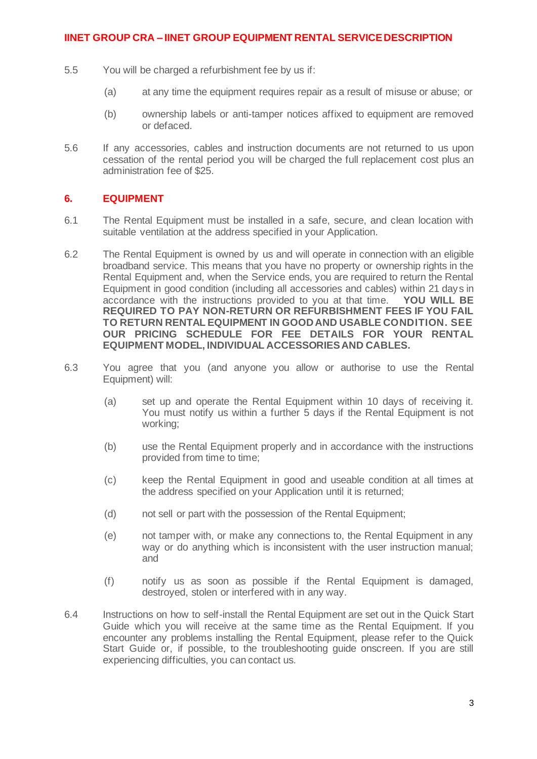- 5.5 You will be charged a refurbishment fee by us if:
	- (a) at any time the equipment requires repair as a result of misuse or abuse; or
	- (b) ownership labels or anti-tamper notices affixed to equipment are removed or defaced.
- 5.6 If any accessories, cables and instruction documents are not returned to us upon cessation of the rental period you will be charged the full replacement cost plus an administration fee of \$25.

# **6. EQUIPMENT**

- 6.1 The Rental Equipment must be installed in a safe, secure, and clean location with suitable ventilation at the address specified in your Application.
- <span id="page-2-0"></span>6.2 The Rental Equipment is owned by us and will operate in connection with an eligible broadband service. This means that you have no property or ownership rights in the Rental Equipment and, when the Service ends, you are required to return the Rental Equipment in good condition (including all accessories and cables) within 21 days in accordance with the instructions provided to you at that time. **YOU WILL BE REQUIRED TO PAY NON-RETURN OR REFURBISHMENT FEES IF YOU FAIL TO RETURN RENTAL EQUIPMENT IN GOOD AND USABLE CONDITION. SEE OUR PRICING SCHEDULE FOR FEE DETAILS FOR YOUR RENTAL EQUIPMENT MODEL, INDIVIDUAL ACCESSORIES AND CABLES.**
- 6.3 You agree that you (and anyone you allow or authorise to use the Rental Equipment) will:
	- (a) set up and operate the Rental Equipment within 10 days of receiving it. You must notify us within a further 5 days if the Rental Equipment is not working;
	- (b) use the Rental Equipment properly and in accordance with the instructions provided from time to time;
	- (c) keep the Rental Equipment in good and useable condition at all times at the address specified on your Application until it is returned;
	- (d) not sell or part with the possession of the Rental Equipment;
	- (e) not tamper with, or make any connections to, the Rental Equipment in any way or do anything which is inconsistent with the user instruction manual; and
	- (f) notify us as soon as possible if the Rental Equipment is damaged, destroyed, stolen or interfered with in any way.
- 6.4 Instructions on how to self-install the Rental Equipment are set out in the Quick Start Guide which you will receive at the same time as the Rental Equipment. If you encounter any problems installing the Rental Equipment, please refer to the Quick Start Guide or, if possible, to the troubleshooting guide onscreen. If you are still experiencing difficulties, you can contact us.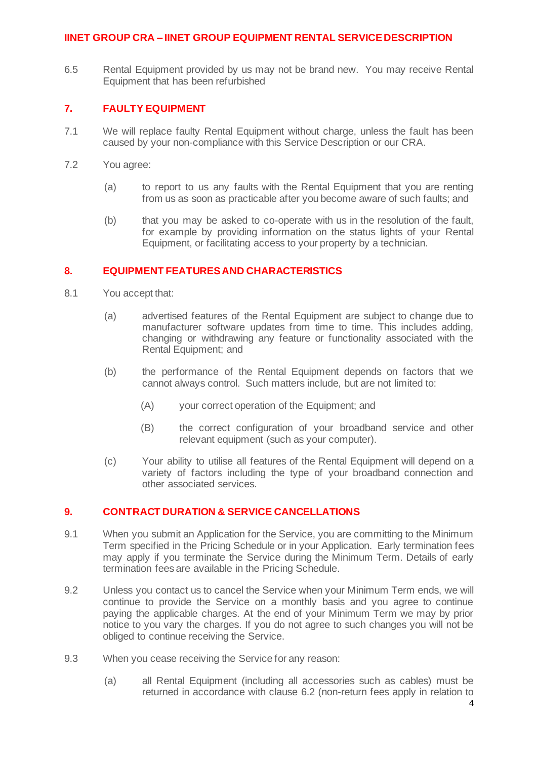6.5 Rental Equipment provided by us may not be brand new. You may receive Rental Equipment that has been refurbished

# **7. FAULTY EQUIPMENT**

- 7.1 We will replace faulty Rental Equipment without charge, unless the fault has been caused by your non-compliance with this Service Description or our CRA.
- 7.2 You agree:
	- (a) to report to us any faults with the Rental Equipment that you are renting from us as soon as practicable after you become aware of such faults; and
	- (b) that you may be asked to co-operate with us in the resolution of the fault, for example by providing information on the status lights of your Rental Equipment, or facilitating access to your property by a technician.

# **8. EQUIPMENT FEATURES AND CHARACTERISTICS**

- 8.1 You accept that:
	- (a) advertised features of the Rental Equipment are subject to change due to manufacturer software updates from time to time. This includes adding, changing or withdrawing any feature or functionality associated with the Rental Equipment; and
	- (b) the performance of the Rental Equipment depends on factors that we cannot always control. Such matters include, but are not limited to:
		- (A) your correct operation of the Equipment; and
		- (B) the correct configuration of your broadband service and other relevant equipment (such as your computer).
	- (c) Your ability to utilise all features of the Rental Equipment will depend on a variety of factors including the type of your broadband connection and other associated services.

#### **9. CONTRACT DURATION & SERVICE CANCELLATIONS**

- 9.1 When you submit an Application for the Service, you are committing to the Minimum Term specified in the Pricing Schedule or in your Application. Early termination fees may apply if you terminate the Service during the Minimum Term. Details of early termination fees are available in the Pricing Schedule.
- 9.2 Unless you contact us to cancel the Service when your Minimum Term ends, we will continue to provide the Service on a monthly basis and you agree to continue paying the applicable charges. At the end of your Minimum Term we may by prior notice to you vary the charges. If you do not agree to such changes you will not be obliged to continue receiving the Service.
- 9.3 When you cease receiving the Service for any reason:
	- (a) all Rental Equipment (including all accessories such as cables) must be returned in accordance with claus[e 6.2](#page-2-0) (non-return fees apply in relation to